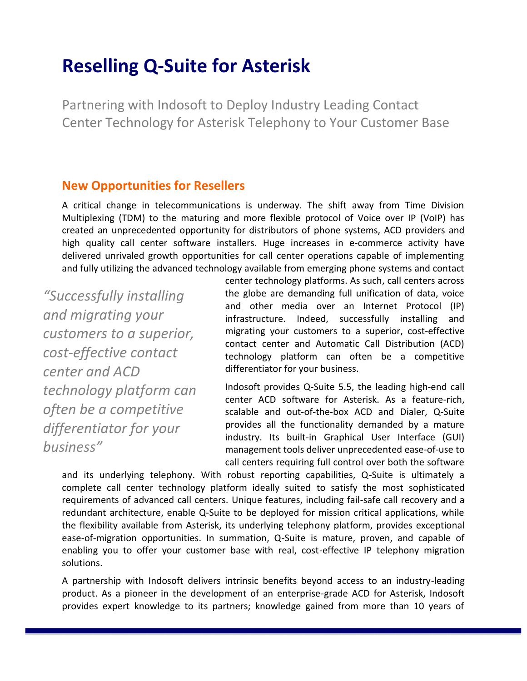# **Reselling Q-Suite for Asterisk**

Partnering with Indosoft to Deploy Industry Leading Contact Center Technology for Asterisk Telephony to Your Customer Base

## **New Opportunities for Resellers**

A critical change in telecommunications is underway. The shift away from Time Division Multiplexing (TDM) to the maturing and more flexible protocol of Voice over IP (VoIP) has created an unprecedented opportunity for distributors of phone systems, ACD providers and high quality call center software installers. Huge increases in e-commerce activity have delivered unrivaled growth opportunities for call center operations capable of implementing and fully utilizing the advanced technology available from emerging phone systems and contact

*"Successfully installing and migrating your customers to a superior, cost-effective contact center and ACD technology platform can often be a competitive differentiator for your business"*

center technology platforms. As such, call centers across the globe are demanding full unification of data, voice and other media over an Internet Protocol (IP) infrastructure. Indeed, successfully installing and migrating your customers to a superior, cost-effective contact center and Automatic Call Distribution (ACD) technology platform can often be a competitive differentiator for your business.

Indosoft provides Q-Suite 5.5, the leading high-end call center ACD software for Asterisk. As a feature-rich, scalable and out-of-the-box ACD and Dialer, Q-Suite provides all the functionality demanded by a mature industry. Its built-in Graphical User Interface (GUI) management tools deliver unprecedented ease-of-use to call centers requiring full control over both the software

and its underlying telephony. With robust reporting capabilities, Q-Suite is ultimately a complete call center technology platform ideally suited to satisfy the most sophisticated requirements of advanced call centers. Unique features, including fail-safe call recovery and a redundant architecture, enable Q-Suite to be deployed for mission critical applications, while the flexibility available from Asterisk, its underlying telephony platform, provides exceptional ease-of-migration opportunities. In summation, Q-Suite is mature, proven, and capable of enabling you to offer your customer base with real, cost-effective IP telephony migration solutions.

A partnership with Indosoft delivers intrinsic benefits beyond access to an industry-leading product. As a pioneer in the development of an enterprise-grade ACD for Asterisk, Indosoft provides expert knowledge to its partners; knowledge gained from more than 10 years of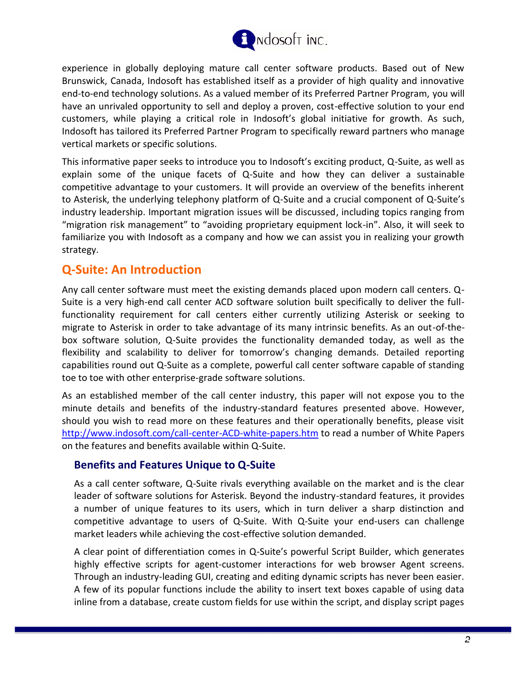

experience in globally deploying mature call center software products. Based out of New Brunswick, Canada, Indosoft has established itself as a provider of high quality and innovative end-to-end technology solutions. As a valued member of its Preferred Partner Program, you will have an unrivaled opportunity to sell and deploy a proven, cost-effective solution to your end customers, while playing a critical role in Indosoft's global initiative for growth. As such, Indosoft has tailored its Preferred Partner Program to specifically reward partners who manage vertical markets or specific solutions.

This informative paper seeks to introduce you to Indosoft's exciting product, Q-Suite, as well as explain some of the unique facets of Q-Suite and how they can deliver a sustainable competitive advantage to your customers. It will provide an overview of the benefits inherent to Asterisk, the underlying telephony platform of Q-Suite and a crucial component of Q-Suite's industry leadership. Important migration issues will be discussed, including topics ranging from "migration risk management" to "avoiding proprietary equipment lock-in". Also, it will seek to familiarize you with Indosoft as a company and how we can assist you in realizing your growth strategy.

## **Q-Suite: An Introduction**

Any call center software must meet the existing demands placed upon modern call centers. Q-Suite is a very high-end call center ACD software solution built specifically to deliver the fullfunctionality requirement for call centers either currently utilizing Asterisk or seeking to migrate to Asterisk in order to take advantage of its many intrinsic benefits. As an out-of-thebox software solution, Q-Suite provides the functionality demanded today, as well as the flexibility and scalability to deliver for tomorrow's changing demands. Detailed reporting capabilities round out Q-Suite as a complete, powerful call center software capable of standing toe to toe with other enterprise-grade software solutions.

As an established member of the call center industry, this paper will not expose you to the minute details and benefits of the industry-standard features presented above. However, should you wish to read more on these features and their operationally benefits, please visit http://www.indosoft.com/call-center-ACD-white-papers.htm to read a number of White Papers on the features and benefits available within Q-Suite.

## **Benefits and Features Unique to Q-Suite**

As a call center software, Q-Suite rivals everything available on the market and is the clear leader of software solutions for Asterisk. Beyond the industry-standard features, it provides a number of unique features to its users, which in turn deliver a sharp distinction and competitive advantage to users of Q-Suite. With Q-Suite your end-users can challenge market leaders while achieving the cost-effective solution demanded.

A clear point of differentiation comes in Q-Suite's powerful Script Builder, which generates highly effective scripts for agent-customer interactions for web browser Agent screens. Through an industry-leading GUI, creating and editing dynamic scripts has never been easier. A few of its popular functions include the ability to insert text boxes capable of using data inline from a database, create custom fields for use within the script, and display script pages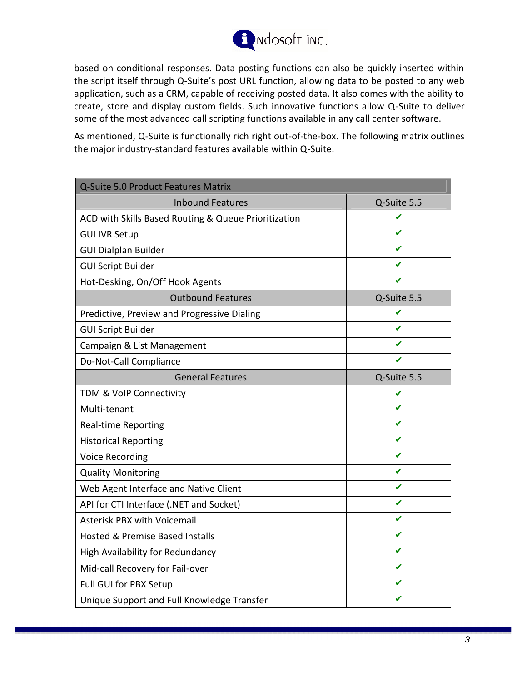

based on conditional responses. Data posting functions can also be quickly inserted within the script itself through Q-Suite's post URL function, allowing data to be posted to any web application, such as a CRM, capable of receiving posted data. It also comes with the ability to create, store and display custom fields. Such innovative functions allow Q-Suite to deliver some of the most advanced call scripting functions available in any call center software.

As mentioned, Q-Suite is functionally rich right out-of-the-box. The following matrix outlines the major industry-standard features available within Q-Suite:

| <b>Q-Suite 5.0 Product Features Matrix</b>           |             |  |
|------------------------------------------------------|-------------|--|
| <b>Inbound Features</b>                              | Q-Suite 5.5 |  |
| ACD with Skills Based Routing & Queue Prioritization |             |  |
| <b>GUI IVR Setup</b>                                 | J           |  |
| <b>GUI Dialplan Builder</b>                          | J           |  |
| <b>GUI Script Builder</b>                            |             |  |
| Hot-Desking, On/Off Hook Agents                      |             |  |
| <b>Outbound Features</b>                             | Q-Suite 5.5 |  |
| Predictive, Preview and Progressive Dialing          | ✔           |  |
| <b>GUI Script Builder</b>                            | ✔           |  |
| Campaign & List Management                           | J           |  |
| Do-Not-Call Compliance                               | J           |  |
| <b>General Features</b>                              | Q-Suite 5.5 |  |
| TDM & VoIP Connectivity                              | ✔           |  |
| Multi-tenant                                         | ✔           |  |
| <b>Real-time Reporting</b>                           | J           |  |
| <b>Historical Reporting</b>                          | ✔           |  |
| <b>Voice Recording</b>                               | ✔           |  |
| <b>Quality Monitoring</b>                            | ✔           |  |
| Web Agent Interface and Native Client                | ✔           |  |
| API for CTI Interface (.NET and Socket)              | ✔           |  |
| <b>Asterisk PBX with Voicemail</b>                   | ✔           |  |
| Hosted & Premise Based Installs                      | ✔           |  |
| High Availability for Redundancy                     | ✔           |  |
| Mid-call Recovery for Fail-over                      | ✔           |  |
| Full GUI for PBX Setup                               | ✔           |  |
| Unique Support and Full Knowledge Transfer           |             |  |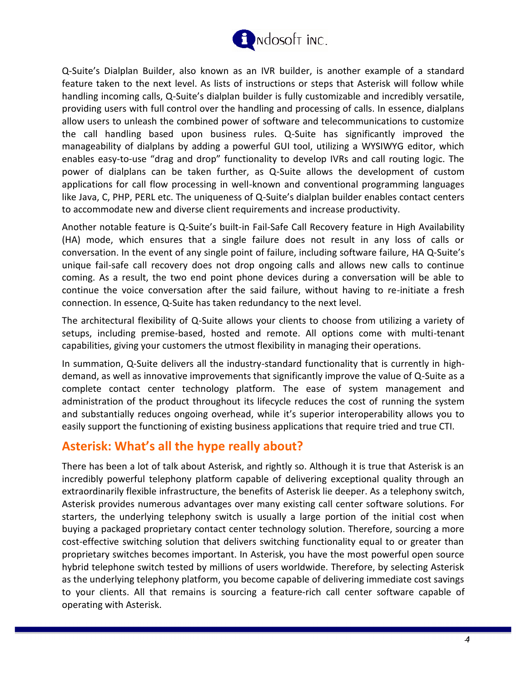

Q-Suite's Dialplan Builder, also known as an IVR builder, is another example of a standard feature taken to the next level. As lists of instructions or steps that Asterisk will follow while handling incoming calls, Q-Suite's dialplan builder is fully customizable and incredibly versatile, providing users with full control over the handling and processing of calls. In essence, dialplans allow users to unleash the combined power of software and telecommunications to customize the call handling based upon business rules. Q-Suite has significantly improved the manageability of dialplans by adding a powerful GUI tool, utilizing a WYSIWYG editor, which enables easy-to-use "drag and drop" functionality to develop IVRs and call routing logic. The power of dialplans can be taken further, as Q-Suite allows the development of custom applications for call flow processing in well-known and conventional programming languages like Java, C, PHP, PERL etc. The uniqueness of Q-Suite's dialplan builder enables contact centers to accommodate new and diverse client requirements and increase productivity.

Another notable feature is Q-Suite's built-in Fail-Safe Call Recovery feature in High Availability (HA) mode, which ensures that a single failure does not result in any loss of calls or conversation. In the event of any single point of failure, including software failure, HA Q-Suite's unique fail-safe call recovery does not drop ongoing calls and allows new calls to continue coming. As a result, the two end point phone devices during a conversation will be able to continue the voice conversation after the said failure, without having to re-initiate a fresh connection. In essence, Q-Suite has taken redundancy to the next level.

The architectural flexibility of Q-Suite allows your clients to choose from utilizing a variety of setups, including premise-based, hosted and remote. All options come with multi-tenant capabilities, giving your customers the utmost flexibility in managing their operations.

In summation, Q-Suite delivers all the industry-standard functionality that is currently in highdemand, as well as innovative improvements that significantly improve the value of Q-Suite as a complete contact center technology platform. The ease of system management and administration of the product throughout its lifecycle reduces the cost of running the system and substantially reduces ongoing overhead, while it's superior interoperability allows you to easily support the functioning of existing business applications that require tried and true CTI.

## **Asterisk: What's all the hype really about?**

There has been a lot of talk about Asterisk, and rightly so. Although it is true that Asterisk is an incredibly powerful telephony platform capable of delivering exceptional quality through an extraordinarily flexible infrastructure, the benefits of Asterisk lie deeper. As a telephony switch, Asterisk provides numerous advantages over many existing call center software solutions. For starters, the underlying telephony switch is usually a large portion of the initial cost when buying a packaged proprietary contact center technology solution. Therefore, sourcing a more cost-effective switching solution that delivers switching functionality equal to or greater than proprietary switches becomes important. In Asterisk, you have the most powerful open source hybrid telephone switch tested by millions of users worldwide. Therefore, by selecting Asterisk as the underlying telephony platform, you become capable of delivering immediate cost savings to your clients. All that remains is sourcing a feature-rich call center software capable of operating with Asterisk.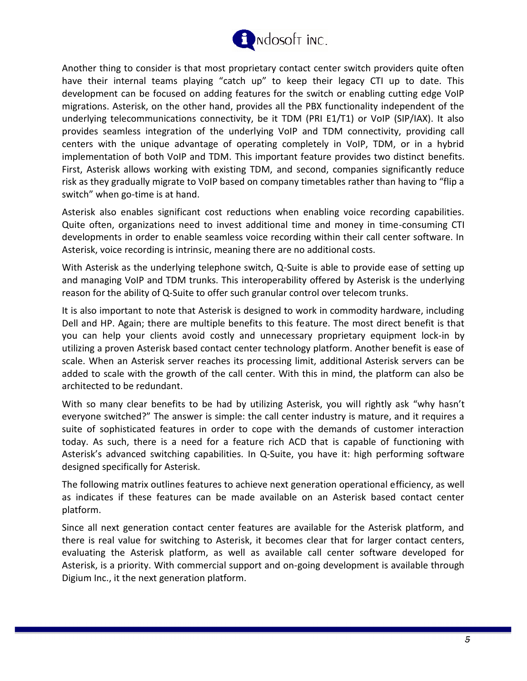

Another thing to consider is that most proprietary contact center switch providers quite often have their internal teams playing "catch up" to keep their legacy CTI up to date. This development can be focused on adding features for the switch or enabling cutting edge VoIP migrations. Asterisk, on the other hand, provides all the PBX functionality independent of the underlying telecommunications connectivity, be it TDM (PRI E1/T1) or VoIP (SIP/IAX). It also provides seamless integration of the underlying VoIP and TDM connectivity, providing call centers with the unique advantage of operating completely in VoIP, TDM, or in a hybrid implementation of both VoIP and TDM. This important feature provides two distinct benefits. First, Asterisk allows working with existing TDM, and second, companies significantly reduce risk as they gradually migrate to VoIP based on company timetables rather than having to "flip a switch" when go-time is at hand.

Asterisk also enables significant cost reductions when enabling voice recording capabilities. Quite often, organizations need to invest additional time and money in time-consuming CTI developments in order to enable seamless voice recording within their call center software. In Asterisk, voice recording is intrinsic, meaning there are no additional costs.

With Asterisk as the underlying telephone switch, Q-Suite is able to provide ease of setting up and managing VoIP and TDM trunks. This interoperability offered by Asterisk is the underlying reason for the ability of Q-Suite to offer such granular control over telecom trunks.

It is also important to note that Asterisk is designed to work in commodity hardware, including Dell and HP. Again; there are multiple benefits to this feature. The most direct benefit is that you can help your clients avoid costly and unnecessary proprietary equipment lock-in by utilizing a proven Asterisk based contact center technology platform. Another benefit is ease of scale. When an Asterisk server reaches its processing limit, additional Asterisk servers can be added to scale with the growth of the call center. With this in mind, the platform can also be architected to be redundant.

With so many clear benefits to be had by utilizing Asterisk, you will rightly ask "why hasn't everyone switched?" The answer is simple: the call center industry is mature, and it requires a suite of sophisticated features in order to cope with the demands of customer interaction today. As such, there is a need for a feature rich ACD that is capable of functioning with Asterisk's advanced switching capabilities. In Q-Suite, you have it: high performing software designed specifically for Asterisk.

The following matrix outlines features to achieve next generation operational efficiency, as well as indicates if these features can be made available on an Asterisk based contact center platform.

Since all next generation contact center features are available for the Asterisk platform, and there is real value for switching to Asterisk, it becomes clear that for larger contact centers, evaluating the Asterisk platform, as well as available call center software developed for Asterisk, is a priority. With commercial support and on-going development is available through Digium Inc., it the next generation platform.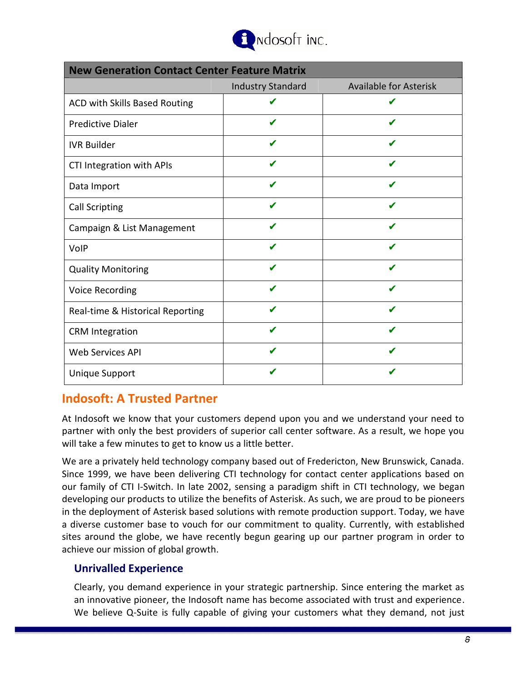

| <b>New Generation Contact Center Feature Matrix</b> |                          |                               |
|-----------------------------------------------------|--------------------------|-------------------------------|
|                                                     | <b>Industry Standard</b> | <b>Available for Asterisk</b> |
| ACD with Skills Based Routing                       |                          |                               |
| <b>Predictive Dialer</b>                            |                          | ✔                             |
| <b>IVR Builder</b>                                  | ✔                        | J                             |
| CTI Integration with APIs                           |                          |                               |
| Data Import                                         | ✔                        | ✔                             |
| <b>Call Scripting</b>                               |                          |                               |
| Campaign & List Management                          | ✔                        |                               |
| VolP                                                |                          |                               |
| <b>Quality Monitoring</b>                           | J                        | J                             |
| Voice Recording                                     | ✔                        | ✔                             |
| Real-time & Historical Reporting                    |                          |                               |
| <b>CRM</b> Integration                              | ✔                        | J                             |
| <b>Web Services API</b>                             |                          |                               |
| <b>Unique Support</b>                               |                          |                               |

## **Indosoft: A Trusted Partner**

At Indosoft we know that your customers depend upon you and we understand your need to partner with only the best providers of superior call center software. As a result, we hope you will take a few minutes to get to know us a little better.

We are a privately held technology company based out of Fredericton, New Brunswick, Canada. Since 1999, we have been delivering CTI technology for contact center applications based on our family of CTI I-Switch. In late 2002, sensing a paradigm shift in CTI technology, we began developing our products to utilize the benefits of Asterisk. As such, we are proud to be pioneers in the deployment of Asterisk based solutions with remote production support. Today, we have a diverse customer base to vouch for our commitment to quality. Currently, with established sites around the globe, we have recently begun gearing up our partner program in order to achieve our mission of global growth.

## **Unrivalled Experience**

Clearly, you demand experience in your strategic partnership. Since entering the market as an innovative pioneer, the Indosoft name has become associated with trust and experience. We believe Q-Suite is fully capable of giving your customers what they demand, not just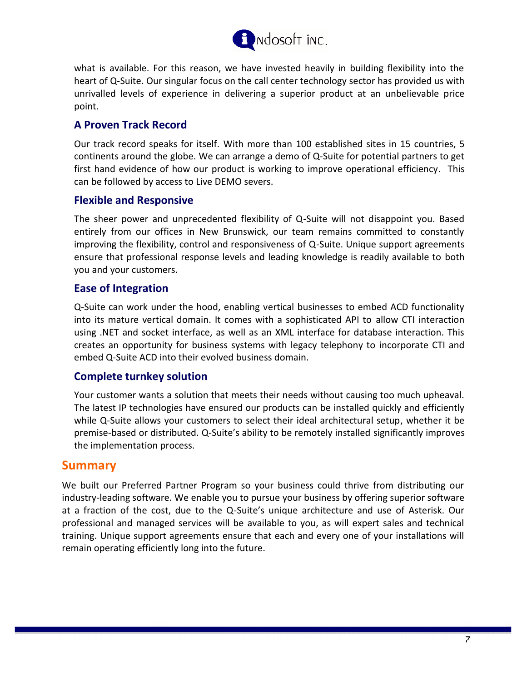

what is available. For this reason, we have invested heavily in building flexibility into the heart of Q-Suite. Our singular focus on the call center technology sector has provided us with unrivalled levels of experience in delivering a superior product at an unbelievable price point.

#### **A Proven Track Record**

Our track record speaks for itself. With more than 100 established sites in 15 countries, 5 continents around the globe. We can arrange a demo of Q-Suite for potential partners to get first hand evidence of how our product is working to improve operational efficiency. This can be followed by access to Live DEMO severs.

#### **Flexible and Responsive**

The sheer power and unprecedented flexibility of Q-Suite will not disappoint you. Based entirely from our offices in New Brunswick, our team remains committed to constantly improving the flexibility, control and responsiveness of Q-Suite. Unique support agreements ensure that professional response levels and leading knowledge is readily available to both you and your customers.

#### **Ease of Integration**

Q-Suite can work under the hood, enabling vertical businesses to embed ACD functionality into its mature vertical domain. It comes with a sophisticated API to allow CTI interaction using .NET and socket interface, as well as an XML interface for database interaction. This creates an opportunity for business systems with legacy telephony to incorporate CTI and embed Q-Suite ACD into their evolved business domain.

#### **Complete turnkey solution**

Your customer wants a solution that meets their needs without causing too much upheaval. The latest IP technologies have ensured our products can be installed quickly and efficiently while Q-Suite allows your customers to select their ideal architectural setup, whether it be premise-based or distributed. Q-Suite's ability to be remotely installed significantly improves the implementation process.

## **Summary**

We built our Preferred Partner Program so your business could thrive from distributing our industry-leading software. We enable you to pursue your business by offering superior software at a fraction of the cost, due to the Q-Suite's unique architecture and use of Asterisk. Our professional and managed services will be available to you, as will expert sales and technical training. Unique support agreements ensure that each and every one of your installations will remain operating efficiently long into the future.